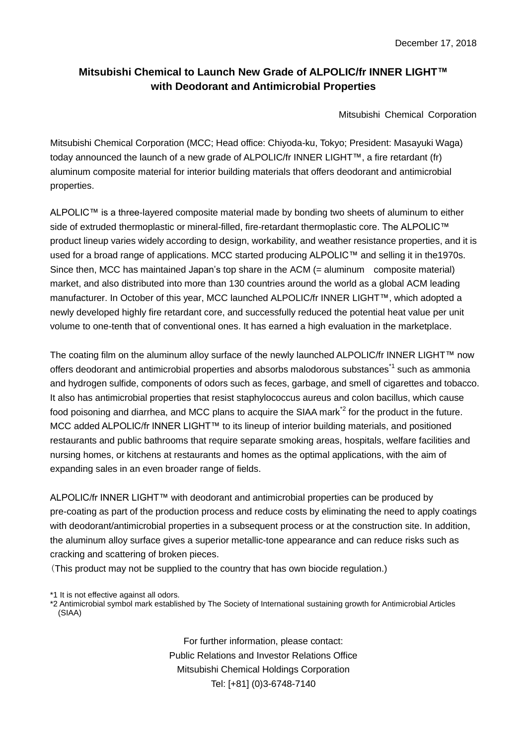## **Mitsubishi Chemical to Launch New Grade of ALPOLIC/fr INNER LIGHT™ with Deodorant and Antimicrobial Properties**

Mitsubishi Chemical Corporation

Mitsubishi Chemical Corporation (MCC; Head office: Chiyoda-ku, Tokyo; President: Masayuki Waga) today announced the launch of a new grade of ALPOLIC/fr INNER LIGHT™, a fire retardant (fr) aluminum composite material for interior building materials that offers deodorant and antimicrobial properties.

ALPOLIC™ is a three-layered composite material made by bonding two sheets of aluminum to either side of extruded thermoplastic or mineral-filled, fire-retardant thermoplastic core. The ALPOLIC™ product lineup varies widely according to design, workability, and weather resistance properties, and it is used for a broad range of applications. MCC started producing ALPOLIC™ and selling it in the1970s. Since then, MCC has maintained Japan's top share in the ACM (= aluminum composite material) market, and also distributed into more than 130 countries around the world as a global ACM leading manufacturer. In October of this year, MCC launched ALPOLIC/fr INNER LIGHT™, which adopted a newly developed highly fire retardant core, and successfully reduced the potential heat value per unit volume to one-tenth that of conventional ones. It has earned a high evaluation in the marketplace.

The coating film on the aluminum alloy surface of the newly launched ALPOLIC/fr INNER LIGHT™ now offers deodorant and antimicrobial properties and absorbs malodorous substances<sup>\*1</sup> such as ammonia and hydrogen sulfide, components of odors such as feces, garbage, and smell of cigarettes and tobacco. It also has antimicrobial properties that resist staphylococcus aureus and colon bacillus, which cause food poisoning and diarrhea, and MCC plans to acquire the SIAA mark<sup>\*2</sup> for the product in the future. MCC added ALPOLIC/fr INNER LIGHT™ to its lineup of interior building materials, and positioned restaurants and public bathrooms that require separate smoking areas, hospitals, welfare facilities and nursing homes, or kitchens at restaurants and homes as the optimal applications, with the aim of expanding sales in an even broader range of fields.

ALPOLIC/fr INNER LIGHT™ with deodorant and antimicrobial properties can be produced by pre-coating as part of the production process and reduce costs by eliminating the need to apply coatings with deodorant/antimicrobial properties in a subsequent process or at the construction site. In addition, the aluminum alloy surface gives a superior metallic-tone appearance and can reduce risks such as cracking and scattering of broken pieces.

(This product may not be supplied to the country that has own biocide regulation.)

\*1 It is not effective against all odors.

\*2 Antimicrobial symbol mark established by The Society of International sustaining growth for Antimicrobial Articles (SIAA)

> For further information, please contact: Public Relations and Investor Relations Office Mitsubishi Chemical Holdings Corporation Tel: [+81] (0)3-6748-7140